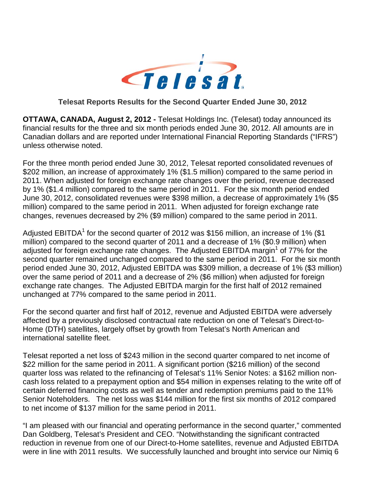

#### **Telesat Reports Results for the Second Quarter Ended June 30, 2012**

**OTTAWA, CANADA, August 2, 2012 -** Telesat Holdings Inc. (Telesat) today announced its financial results for the three and six month periods ended June 30, 2012. All amounts are in Canadian dollars and are reported under International Financial Reporting Standards ("IFRS") unless otherwise noted.

For the three month period ended June 30, 2012, Telesat reported consolidated revenues of \$202 million, an increase of approximately 1% (\$1.5 million) compared to the same period in 2011. When adjusted for foreign exchange rate changes over the period, revenue decreased by 1% (\$1.4 million) compared to the same period in 2011. For the six month period ended June 30, 2012, consolidated revenues were \$398 million, a decrease of approximately 1% (\$5 million) compared to the same period in 2011. When adjusted for foreign exchange rate changes, revenues decreased by 2% (\$9 million) compared to the same period in 2011.

Adjusted EBITDA<sup>1</sup> for the second quarter of 2012 was \$156 million, an increase of 1% (\$1) million) compared to the second quarter of 2011 and a decrease of 1% (\$0.9 million) when adjusted for foreign exchange rate changes. The Adjusted EBITDA margin<sup>1</sup> of 77% for the second quarter remained unchanged compared to the same period in 2011. For the six month period ended June 30, 2012, Adjusted EBITDA was \$309 million, a decrease of 1% (\$3 million) over the same period of 2011 and a decrease of 2% (\$6 million) when adjusted for foreign exchange rate changes. The Adjusted EBITDA margin for the first half of 2012 remained unchanged at 77% compared to the same period in 2011.

For the second quarter and first half of 2012, revenue and Adjusted EBITDA were adversely affected by a previously disclosed contractual rate reduction on one of Telesat's Direct-to-Home (DTH) satellites, largely offset by growth from Telesat's North American and international satellite fleet.

Telesat reported a net loss of \$243 million in the second quarter compared to net income of \$22 million for the same period in 2011. A significant portion (\$216 million) of the second quarter loss was related to the refinancing of Telesat's 11% Senior Notes: a \$162 million noncash loss related to a prepayment option and \$54 million in expenses relating to the write off of certain deferred financing costs as well as tender and redemption premiums paid to the 11% Senior Noteholders. The net loss was \$144 million for the first six months of 2012 compared to net income of \$137 million for the same period in 2011.

"I am pleased with our financial and operating performance in the second quarter," commented Dan Goldberg, Telesat's President and CEO. "Notwithstanding the significant contracted reduction in revenue from one of our Direct-to-Home satellites, revenue and Adjusted EBITDA were in line with 2011 results. We successfully launched and brought into service our Nimiq 6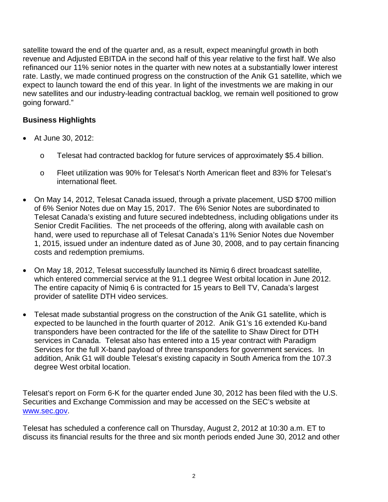satellite toward the end of the quarter and, as a result, expect meaningful growth in both revenue and Adjusted EBITDA in the second half of this year relative to the first half. We also refinanced our 11% senior notes in the quarter with new notes at a substantially lower interest rate. Lastly, we made continued progress on the construction of the Anik G1 satellite, which we expect to launch toward the end of this year. In light of the investments we are making in our new satellites and our industry-leading contractual backlog, we remain well positioned to grow going forward."

### **Business Highlights**

- At June 30, 2012:
	- o Telesat had contracted backlog for future services of approximately \$5.4 billion.
	- o Fleet utilization was 90% for Telesat's North American fleet and 83% for Telesat's international fleet.
- On May 14, 2012, Telesat Canada issued, through a private placement, USD \$700 million of 6% Senior Notes due on May 15, 2017. The 6% Senior Notes are subordinated to Telesat Canada's existing and future secured indebtedness, including obligations under its Senior Credit Facilities. The net proceeds of the offering, along with available cash on hand, were used to repurchase all of Telesat Canada's 11% Senior Notes due November 1, 2015, issued under an indenture dated as of June 30, 2008, and to pay certain financing costs and redemption premiums.
- On May 18, 2012, Telesat successfully launched its Nimiq 6 direct broadcast satellite, which entered commercial service at the 91.1 degree West orbital location in June 2012. The entire capacity of Nimiq 6 is contracted for 15 years to Bell TV, Canada's largest provider of satellite DTH video services.
- Telesat made substantial progress on the construction of the Anik G1 satellite, which is expected to be launched in the fourth quarter of 2012. Anik G1's 16 extended Ku-band transponders have been contracted for the life of the satellite to Shaw Direct for DTH services in Canada. Telesat also has entered into a 15 year contract with Paradigm Services for the full X-band payload of three transponders for government services. In addition, Anik G1 will double Telesat's existing capacity in South America from the 107.3 degree West orbital location.

Telesat's report on Form 6-K for the quarter ended June 30, 2012 has been filed with the U.S. Securities and Exchange Commission and may be accessed on the SEC's website at [www.sec.gov.](http://www.sec.gov/)

Telesat has scheduled a conference call on Thursday, August 2, 2012 at 10:30 a.m. ET to discuss its financial results for the three and six month periods ended June 30, 2012 and other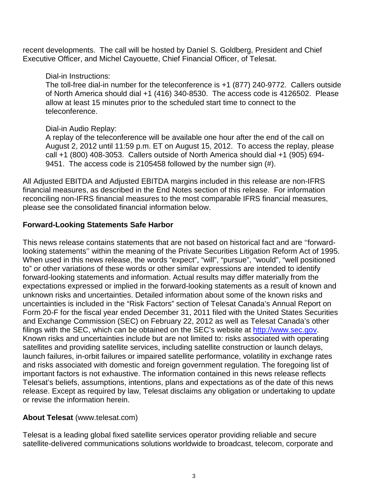recent developments. The call will be hosted by Daniel S. Goldberg, President and Chief Executive Officer, and Michel Cayouette, Chief Financial Officer, of Telesat.

#### Dial-in Instructions:

The toll-free dial-in number for the teleconference is +1 (877) 240-9772. Callers outside of North America should dial +1 (416) 340-8530. The access code is 4126502. Please allow at least 15 minutes prior to the scheduled start time to connect to the teleconference.

### Dial-in Audio Replay:

A replay of the teleconference will be available one hour after the end of the call on August 2, 2012 until 11:59 p.m. ET on August 15, 2012. To access the replay, please call +1 (800) 408-3053. Callers outside of North America should dial +1 (905) 694- 9451. The access code is 2105458 followed by the number sign (#).

All Adjusted EBITDA and Adjusted EBITDA margins included in this release are non-IFRS financial measures, as described in the End Notes section of this release. For information reconciling non-IFRS financial measures to the most comparable IFRS financial measures, please see the consolidated financial information below.

### **Forward-Looking Statements Safe Harbor**

This news release contains statements that are not based on historical fact and are ''forwardlooking statements'' within the meaning of the Private Securities Litigation Reform Act of 1995. When used in this news release, the words "expect", "will", "pursue", "would", "well positioned to" or other variations of these words or other similar expressions are intended to identify forward-looking statements and information. Actual results may differ materially from the expectations expressed or implied in the forward-looking statements as a result of known and unknown risks and uncertainties. Detailed information about some of the known risks and uncertainties is included in the "Risk Factors" section of Telesat Canada's Annual Report on Form 20-F for the fiscal year ended December 31, 2011 filed with the United States Securities and Exchange Commission (SEC) on February 22, 2012 as well as Telesat Canada's other filings with the SEC, which can be obtained on the SEC's website at http://www.sec.gov. Known risks and uncertainties include but are not limited to: risks associated with operating satellites and providing satellite services, including satellite construction or launch delays, launch failures, in-orbit failures or impaired satellite performance, volatility in exchange rates and risks associated with domestic and foreign government regulation. The foregoing list of important factors is not exhaustive. The information contained in this news release reflects Telesat's beliefs, assumptions, intentions, plans and expectations as of the date of this news release. Except as required by law, Telesat disclaims any obligation or undertaking to update or revise the information herein.

### **About Telesat** (www.telesat.com)

Telesat is a leading global fixed satellite services operator providing reliable and secure satellite-delivered communications solutions worldwide to broadcast, telecom, corporate and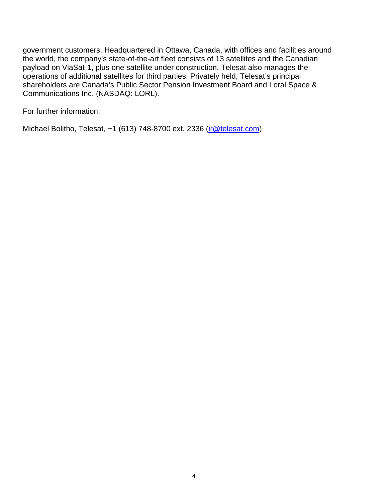government customers. Headquartered in Ottawa, Canada, with offices and facilities around the world, the company's state-of-the-art fleet consists of 13 satellites and the Canadian payload on ViaSat-1, plus one satellite under construction. Telesat also manages the operations of additional satellites for third parties. Privately held, Telesat's principal shareholders are Canada's Public Sector Pension Investment Board and Loral Space & Communications Inc. (NASDAQ: LORL).

For further information:

Michael Bolitho, Telesat, +1 (613) 748-8700 ext. 2336 [\(ir@telesat.com\)](mailto:ir@telesat.com)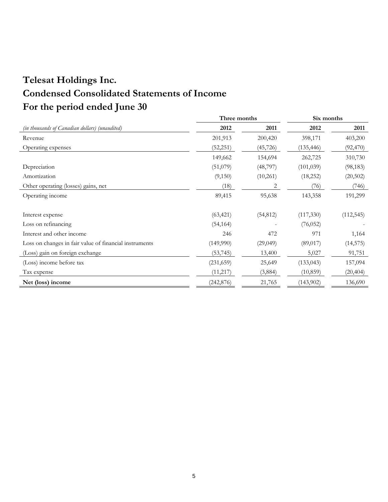# **Telesat Holdings Inc. Condensed Consolidated Statements of Income For the period ended June 30**

|                                                        | Three months |           | Six months |            |
|--------------------------------------------------------|--------------|-----------|------------|------------|
| (in thousands of Canadian dollars) (unaudited)         | 2012         | 2011      | 2012       | 2011       |
| Revenue                                                | 201,913      | 200,420   | 398,171    | 403,200    |
| Operating expenses                                     | (52,251)     | (45, 726) | (135, 446) | (92, 470)  |
|                                                        | 149,662      | 154,694   | 262,725    | 310,730    |
| Depreciation                                           | (51,079)     | (48,797)  | (101, 039) | (98, 183)  |
| Amortization                                           | (9,150)      | (10,261)  | (18,252)   | (20,502)   |
| Other operating (losses) gains, net                    | (18)         | 2         | (76)       | (746)      |
| Operating income                                       | 89,415       | 95,638    | 143,358    | 191,299    |
|                                                        |              |           |            |            |
| Interest expense                                       | (63, 421)    | (54, 812) | (117,330)  | (112, 545) |
| Loss on refinancing                                    | (54, 164)    |           | (76, 052)  |            |
| Interest and other income                              | 246          | 472       | 971        | 1,164      |
| Loss on changes in fair value of financial instruments | (149,990)    | (29,049)  | (89, 017)  | (14, 575)  |
| (Loss) gain on foreign exchange                        | (53, 745)    | 13,400    | 5,027      | 91,751     |
| (Loss) income before tax                               | (231, 659)   | 25,649    | (133, 043) | 157,094    |
| Tax expense                                            | (11, 217)    | (3,884)   | (10, 859)  | (20, 404)  |
| Net (loss) income                                      | (242, 876)   | 21,765    | (143,902)  | 136,690    |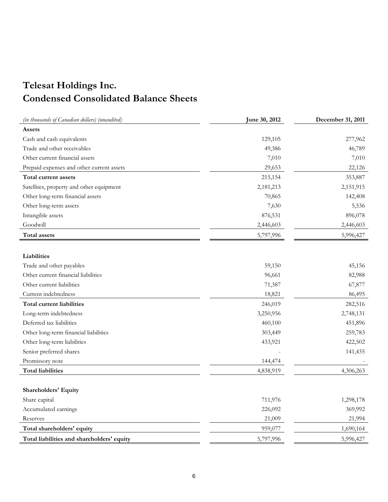## **Telesat Holdings Inc. Condensed Consolidated Balance Sheets**

| (in thousands of Canadian dollars) (unaudited) | June 30, 2012 | December 31, 2011 |
|------------------------------------------------|---------------|-------------------|
| Assets                                         |               |                   |
| Cash and cash equivalents                      | 129,105       | 277,962           |
| Trade and other receivables                    | 49,386        | 46,789            |
| Other current financial assets                 | 7,010         | 7,010             |
| Prepaid expenses and other current assets      | 29,653        | 22,126            |
| Total current assets                           | 215,154       | 353,887           |
| Satellites, property and other equipment       | 2,181,213     | 2,151,915         |
| Other long-term financial assets               | 70,865        | 142,408           |
| Other long-term assets                         | 7,630         | 5,536             |
| Intangible assets                              | 876,531       | 896,078           |
| Goodwill                                       | 2,446,603     | 2,446,603         |
| <b>Total assets</b>                            | 5,797,996     | 5,996,427         |
|                                                |               |                   |
| Liabilities                                    |               |                   |
| Trade and other payables                       | 59,150        | 45,156            |
| Other current financial liabilities            | 96,661        | 82,988            |
| Other current liabilities                      | 71,387        | 67,877            |
| Current indebtedness                           | 18,821        | 86,495            |
| Total current liabilities                      | 246,019       | 282,516           |
| Long-term indebtedness                         | 3,250,956     | 2,748,131         |
| Deferred tax liabilities                       | 460,100       | 451,896           |
| Other long-term financial liabilities          | 303,449       | 259,783           |
| Other long-term liabilities                    | 433,921       | 422,502           |
| Senior preferred shares                        |               | 141,435           |
| Promissory note                                | 144,474       |                   |
| <b>Total liabilities</b>                       | 4,838,919     | 4,306,263         |
|                                                |               |                   |
| <b>Shareholders' Equity</b>                    |               |                   |
| Share capital                                  | 711,976       | 1,298,178         |
| Accumulated earnings                           | 226,092       | 369,992           |
| Reserves                                       | 21,009        | 21,994            |
| Total shareholders' equity                     | 959,077       | 1,690,164         |
| Total liabilities and shareholders' equity     | 5,797,996     | 5,996,427         |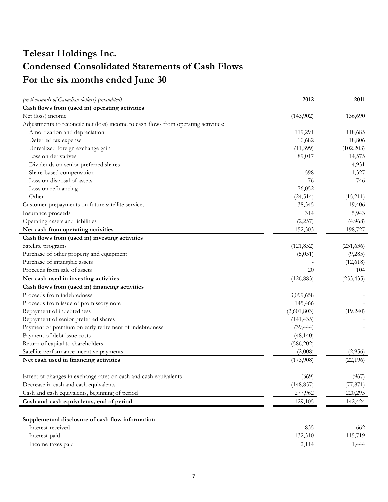# **Telesat Holdings Inc. Condensed Consolidated Statements of Cash Flows For the six months ended June 30**

| (in thousands of Canadian dollars) (unaudited)                                      | 2012        | 2011       |
|-------------------------------------------------------------------------------------|-------------|------------|
| Cash flows from (used in) operating activities                                      |             |            |
| Net (loss) income                                                                   | (143,902)   | 136,690    |
| Adjustments to reconcile net (loss) income to cash flows from operating activities: |             |            |
| Amortization and depreciation                                                       | 119,291     | 118,685    |
| Deferred tax expense                                                                | 10,682      | 18,806     |
| Unrealized foreign exchange gain                                                    | (11,399)    | (102, 203) |
| Loss on derivatives                                                                 | 89,017      | 14,575     |
| Dividends on senior preferred shares                                                |             | 4,931      |
| Share-based compensation                                                            | 598         | 1,327      |
| Loss on disposal of assets                                                          | 76          | 746        |
| Loss on refinancing                                                                 | 76,052      |            |
| Other                                                                               | (24, 514)   | (15,211)   |
| Customer prepayments on future satellite services                                   | 38,345      | 19,406     |
| Insurance proceeds                                                                  | 314         | 5,943      |
| Operating assets and liabilities                                                    | (2, 257)    | (4,968)    |
| Net cash from operating activities                                                  | 152,303     | 198,727    |
| Cash flows from (used in) investing activities                                      |             |            |
| Satellite programs                                                                  | (121, 852)  | (231, 636) |
| Purchase of other property and equipment                                            | (5,051)     | (9,285)    |
| Purchase of intangible assets                                                       |             | (12,618)   |
| Proceeds from sale of assets                                                        | $20\,$      | 104        |
| Net cash used in investing activities                                               | (126, 883)  | (253, 435) |
| Cash flows from (used in) financing activities                                      |             |            |
| Proceeds from indebtedness                                                          | 3,099,658   |            |
| Proceeds from issue of promissory note                                              | 145,466     |            |
| Repayment of indebtedness                                                           | (2,601,803) | (19,240)   |
| Repayment of senior preferred shares                                                | (141, 435)  |            |
| Payment of premium on early retirement of indebtedness                              | (39, 444)   |            |
| Payment of debt issue costs                                                         | (48, 140)   |            |
| Return of capital to shareholders                                                   | (586,202)   |            |
| Satellite performance incentive payments                                            | (2,008)     | (2,956)    |
| Net cash used in financing activities                                               | (173,908)   | (22, 196)  |
|                                                                                     |             |            |
| Effect of changes in exchange rates on cash and cash equivalents                    | (369)       | (967)      |
| Decrease in cash and cash equivalents                                               | (148, 857)  | (77, 871)  |
| Cash and cash equivalents, beginning of period                                      | 277,962     | 220,295    |
| Cash and cash equivalents, end of period                                            | 129,105     | 142,424    |
| Supplemental disclosure of cash flow information                                    |             |            |
| Interest received                                                                   | 835         | 662        |
| Interest paid                                                                       | 132,310     | 115,719    |
| Income taxes paid                                                                   | 2,114       | 1,444      |
|                                                                                     |             |            |